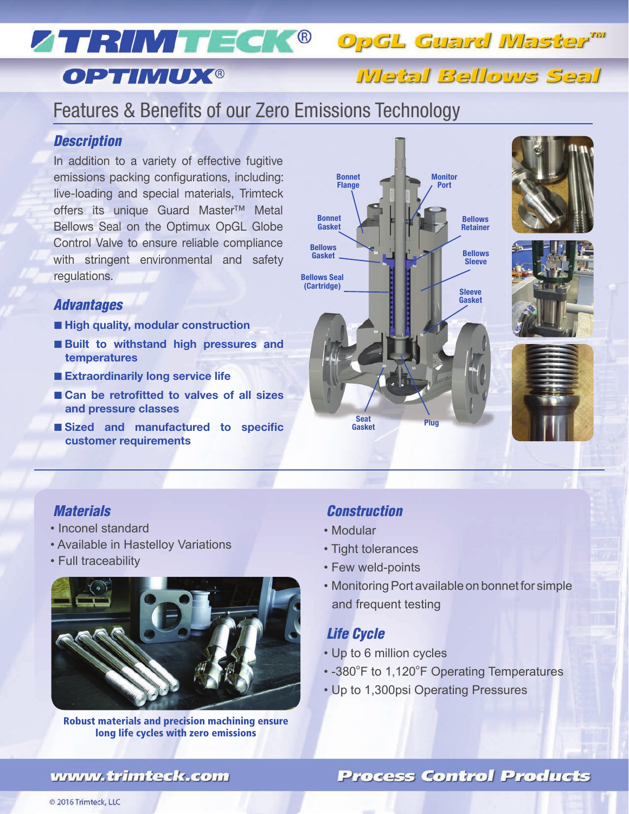# ZTRINT ECK® OpGL Guard Master™

# **OPTIMUX®**

Metal Bellows Seal

# Features & Benefits of our Zero Emissions Technology

## *Description*

In addition to a variety of effective fugitive emissions packing configurations, including: live-loading and special materials, Trimteck offers its unique Guard Master™ Metal Bellows Seal on the Optimux OpGL Globe Control Valve to ensure reliable compliance with stringent environmental and safety regulations.

### *Advantages*

- **High quality, modular construction**
- **Built to withstand high pressures and temperatures**
- **Extraordinarily long service life**
- **Can be retrofitted to valves of all sizes and pressure classes**
- Sized and manufactured to specific **customer requirements**









## *Materials*

- Inconel standard
- Available in Hastelloy Variations
- Full traceability



Robust materials and precision machining ensure long life cycles with zero emissions

## *Construction*

- Modular
- Tight tolerances
- Few weld-points
- Monitoring Port available on bonnet for simple and frequent testing

## *Life Cycle*

- Up to 6 million cycles
- -380ºF to 1,120ºF Operating Temperatures
- Up to 1,300psi Operating Pressures

## **Process Control Products**

## www.trimteck.com